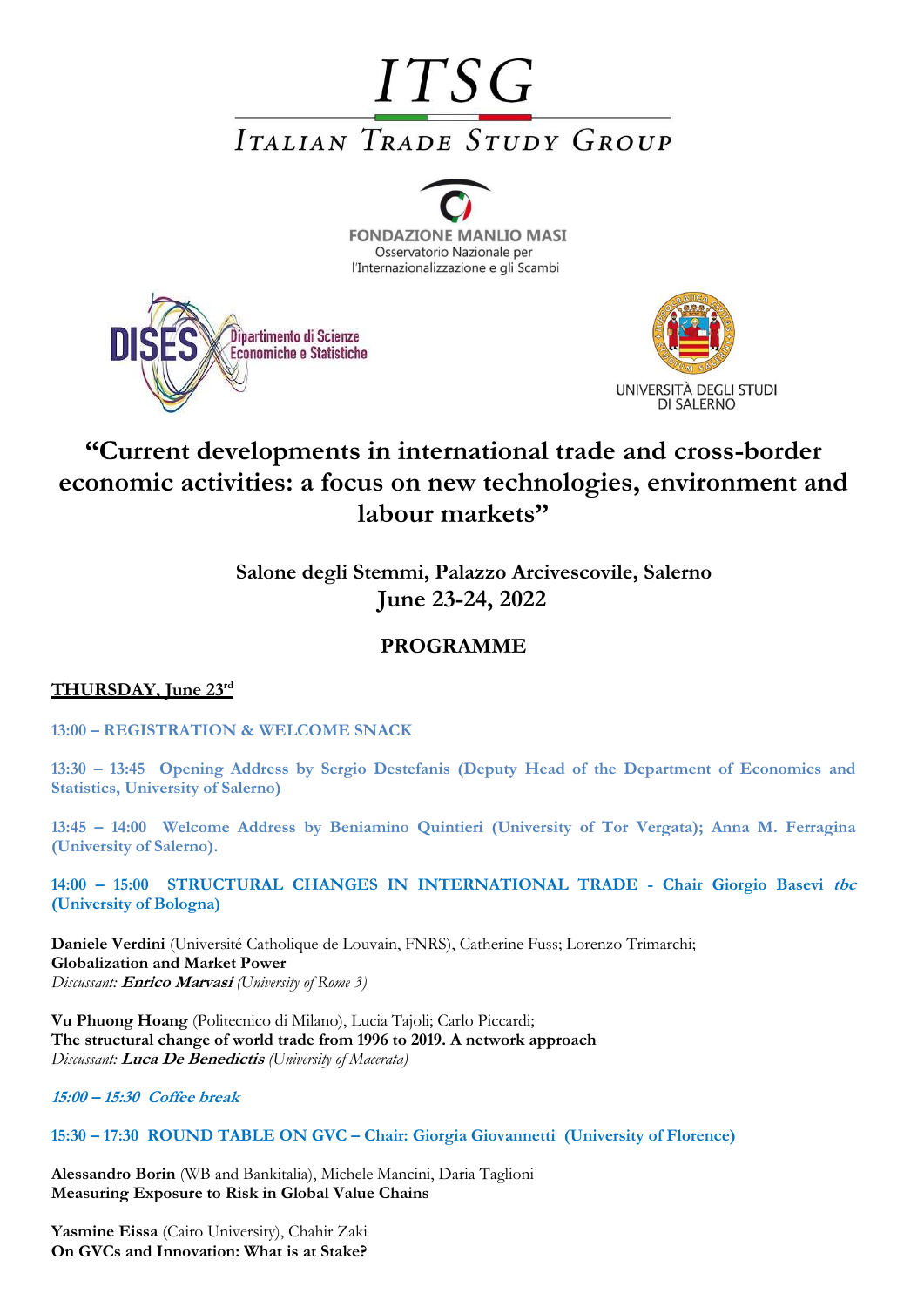# **ITSG ITALIAN TRADE STUDY GROUP**







# **"Current developments in international trade and cross-border economic activities: a focus on new technologies, environment and labour markets"**

**Salone degli Stemmi, Palazzo Arcivescovile, Salerno June 23-24, 2022**

# **PROGRAMME**

## **THURSDAY, June 23rd**

**13:00 – REGISTRATION & WELCOME SNACK**

**13:30 – 13:45 Opening Address by Sergio Destefanis (Deputy Head of the Department of Economics and Statistics, University of Salerno)**

**13:45 – 14:00 Welcome Address by Beniamino Quintieri (University of Tor Vergata); Anna M. Ferragina (University of Salerno).**

**14:00 – 15:00 STRUCTURAL CHANGES IN INTERNATIONAL TRADE - Chair Giorgio Basevi tbc (University of Bologna)** 

**Daniele Verdini** (Université Catholique de Louvain, FNRS), Catherine Fuss; Lorenzo Trimarchi; **Globalization and Market Power** *Discussant:* **Enrico Marvasi** *(University of Rome 3)*

**Vu Phuong Hoang** (Politecnico di Milano), Lucia Tajoli; Carlo Piccardi; **The structural change of world trade from 1996 to 2019. A network approach** *Discussant:* **Luca De Benedictis** *(University of Macerata)*

**15:00 – 15:30 Coffee break**

**15:30 – 17:30 ROUND TABLE ON GVC – Chair: Giorgia Giovannetti (University of Florence)** 

**Alessandro Borin** (WB and Bankitalia), Michele Mancini, Daria Taglioni **Measuring Exposure to Risk in Global Value Chains** 

**Yasmine Eissa** (Cairo University), Chahir Zaki **On GVCs and Innovation: What is at Stake?**